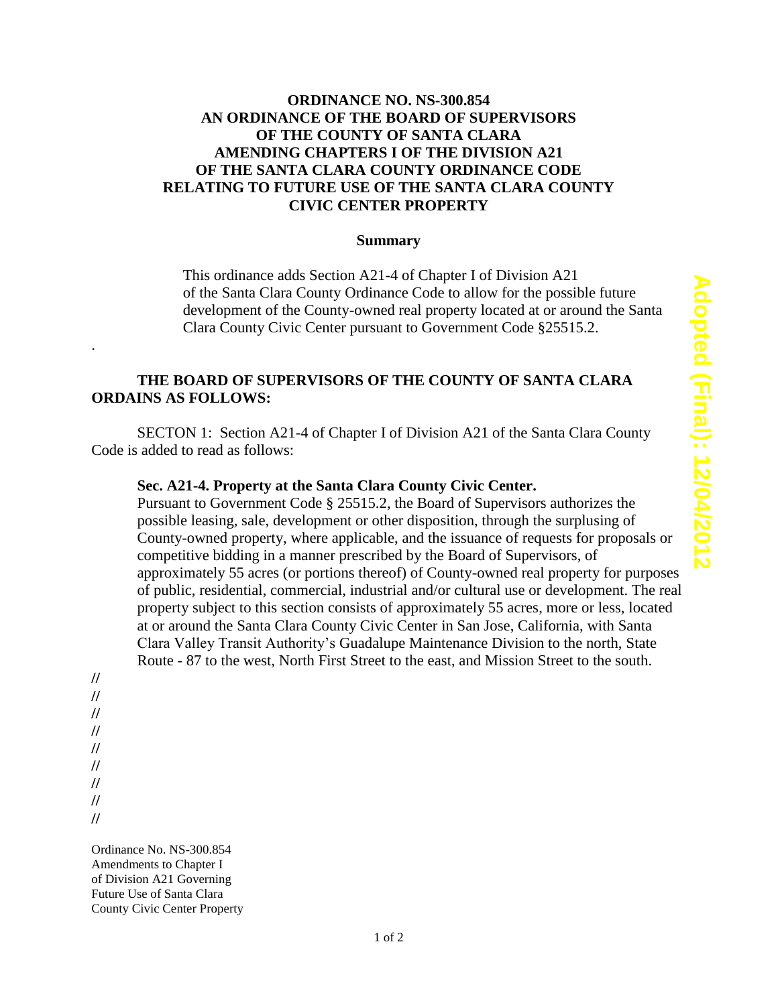## **ORDINANCE NO. NS-300.854 AN ORDINANCE OF THE BOARD OF SUPERVISORS OF THE COUNTY OF SANTA CLARA AMENDING CHAPTERS I OF THE DIVISION A21 OF THE SANTA CLARA COUNTY ORDINANCE CODE RELATING TO FUTURE USE OF THE SANTA CLARA COUNTY CIVIC CENTER PROPERTY**

#### **Summary**

This ordinance adds Section A21-4 of Chapter I of Division A21 of the Santa Clara County Ordinance Code to allow for the possible future development of the County-owned real property located at or around the Santa Clara County Civic Center pursuant to Government Code §25515.2.

# **THE BOARD OF SUPERVISORS OF THE COUNTY OF SANTA CLARA ORDAINS AS FOLLOWS:**

SECTON 1: Section A21-4 of Chapter I of Division A21 of the Santa Clara County Code is added to read as follows:

## **Sec. A21-4. Property at the Santa Clara County Civic Center.**

Pursuant to Government Code § 25515.2, the Board of Supervisors authorizes the possible leasing, sale, development or other disposition, through the surplusing of County-owned property, where applicable, and the issuance of requests for proposals or competitive bidding in a manner prescribed by the Board of Supervisors, of approximately 55 acres (or portions thereof) of County-owned real property for purposes of public, residential, commercial, industrial and/or cultural use or development. The real property subject to this section consists of approximately 55 acres, more or less, located at or around the Santa Clara County Civic Center in San Jose, California, with Santa Clara Valley Transit Authority's Guadalupe Maintenance Division to the north, State Route - 87 to the west, North First Street to the east, and Mission Street to the south.

**//**

.

- **//**
- **//**
- **//**
- **//**
- **// //**
- **//**

**//**

Ordinance No. NS-300.854 Amendments to Chapter I of Division A21 Governing Future Use of Santa Clara County Civic Center Property